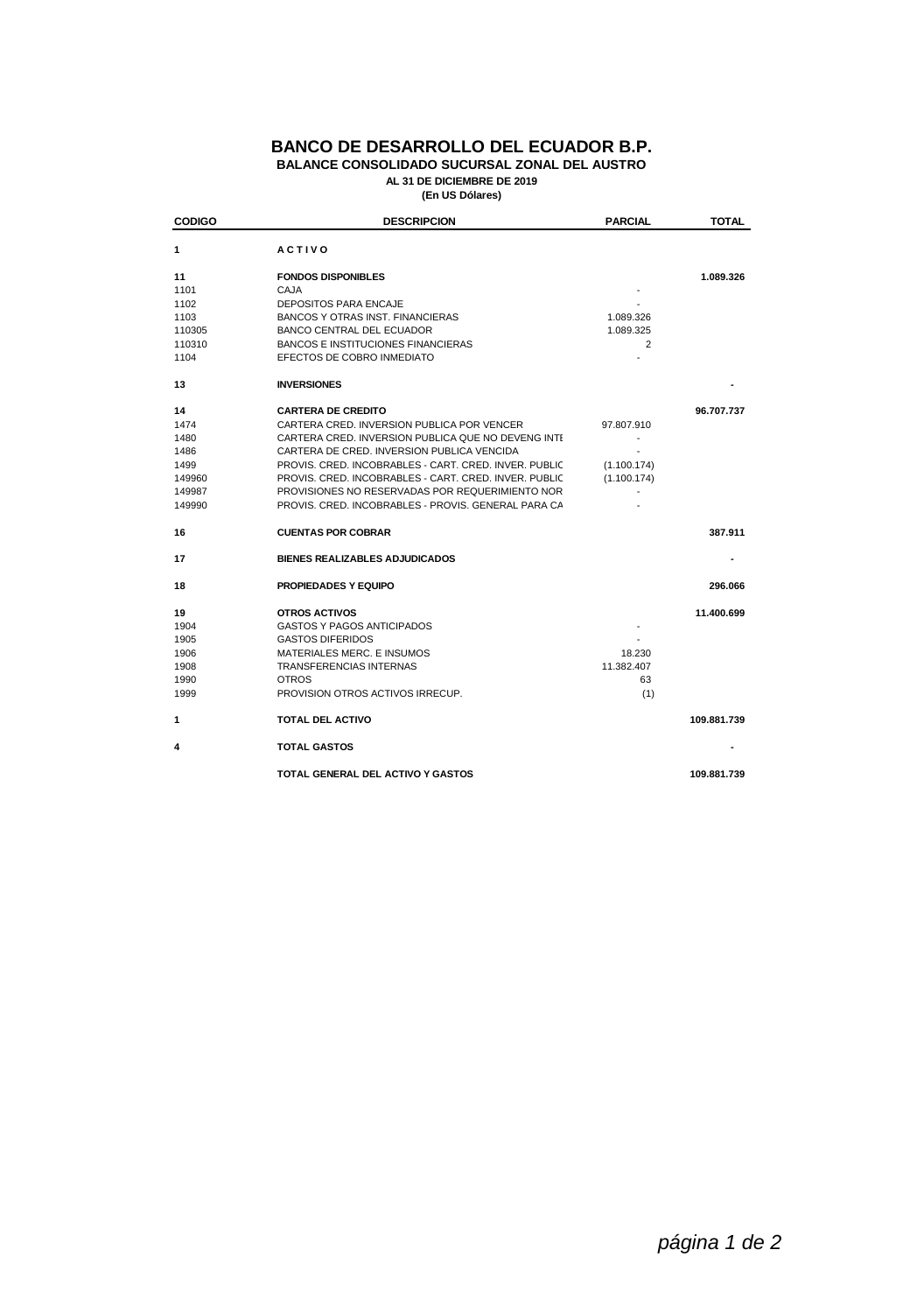| <b>CODIGO</b> | <b>DESCRIPCION</b>                                    | <b>PARCIAL</b> | <b>TOTAL</b> |
|---------------|-------------------------------------------------------|----------------|--------------|
| 1             | <b>ACTIVO</b>                                         |                |              |
| 11            | <b>FONDOS DISPONIBLES</b>                             |                | 1.089.326    |
| 1101          | <b>CAJA</b>                                           |                |              |
| 1102          | <b>DEPOSITOS PARA ENCAJE</b>                          |                |              |
| 1103          | <b>BANCOS Y OTRAS INST. FINANCIERAS</b>               | 1.089.326      |              |
| 110305        | <b>BANCO CENTRAL DEL ECUADOR</b>                      | 1.089.325      |              |
| 110310        | <b>BANCOS E INSTITUCIONES FINANCIERAS</b>             | 2              |              |
| 1104          | EFECTOS DE COBRO INMEDIATO                            |                |              |
| 13            | <b>INVERSIONES</b>                                    |                |              |
| 14            | <b>CARTERA DE CREDITO</b>                             |                | 96.707.737   |
| 1474          | CARTERA CRED. INVERSION PUBLICA POR VENCER            | 97.807.910     |              |
| 1480          | CARTERA CRED. INVERSION PUBLICA QUE NO DEVENG INTE    |                |              |
| 1486          | CARTERA DE CRED. INVERSION PUBLICA VENCIDA            |                |              |
| 1499          | PROVIS, CRED. INCOBRABLES - CART. CRED. INVER. PUBLIC | (1.100.174)    |              |
| 149960        | PROVIS, CRED. INCOBRABLES - CART. CRED. INVER. PUBLIC | (1.100.174)    |              |
| 149987        | PROVISIONES NO RESERVADAS POR REQUERIMIENTO NOR       |                |              |
| 149990        | PROVIS. CRED. INCOBRABLES - PROVIS. GENERAL PARA CA   |                |              |
| 16            | <b>CUENTAS POR COBRAR</b>                             |                | 387.911      |
| 17            | <b>BIENES REALIZABLES ADJUDICADOS</b>                 |                |              |
| 18            | <b>PROPIEDADES Y EQUIPO</b>                           |                | 296.066      |
| 19            | <b>OTROS ACTIVOS</b>                                  |                | 11.400.699   |
| 1904          | <b>GASTOS Y PAGOS ANTICIPADOS</b>                     |                |              |
| 1905          | <b>GASTOS DIFERIDOS</b>                               |                |              |
| 1906          | MATERIALES MERC. E INSUMOS                            | 18.230         |              |
| 1908          | <b>TRANSFERENCIAS INTERNAS</b>                        | 11.382.407     |              |
| 1990          | <b>OTROS</b>                                          | 63             |              |
| 1999          | PROVISION OTROS ACTIVOS IRRECUP.                      | (1)            |              |
| 1             | <b>TOTAL DEL ACTIVO</b>                               |                | 109.881.739  |
| 4             | <b>TOTAL GASTOS</b>                                   |                |              |
|               | TOTAL GENERAL DEL ACTIVO Y GASTOS                     |                | 109.881.739  |

**(En US Dólares) AL 31 DE DICIEMBRE DE 2019**

## **BANCO DE DESARROLLO DEL ECUADOR B.P. BALANCE CONSOLIDADO SUCURSAL ZONAL DEL AUSTRO**

*página 1 de 2*